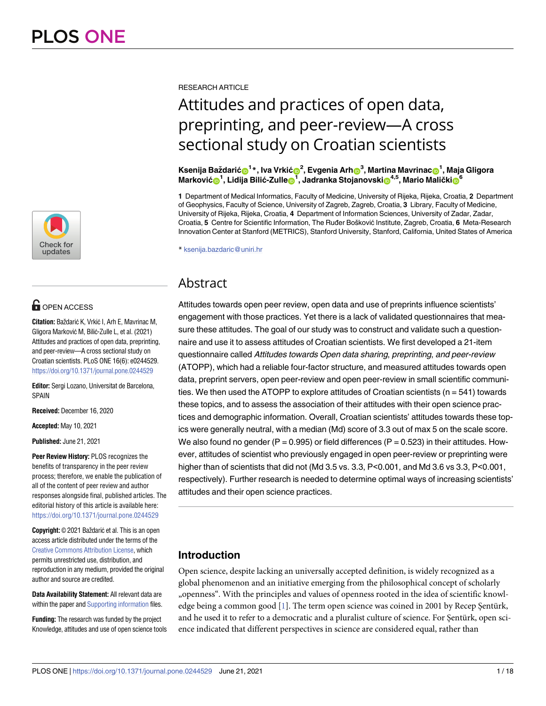

# **OPEN ACCESS**

**Citation:** Baždarić K, Vrkić I, Arh E, Mavrinac M, Gligora Marković M, Bilić-Zulle L, et al. (2021) Attitudes and practices of open data, preprinting, and peer-review—A cross sectional study on Croatian scientists. PLoS ONE 16(6): e0244529. <https://doi.org/10.1371/journal.pone.0244529>

**Editor:** Sergi Lozano, Universitat de Barcelona, SPAIN

**Received:** December 16, 2020

**Accepted:** May 10, 2021

**Published:** June 21, 2021

**Peer Review History:** PLOS recognizes the benefits of transparency in the peer review process; therefore, we enable the publication of all of the content of peer review and author responses alongside final, published articles. The editorial history of this article is available here: <https://doi.org/10.1371/journal.pone.0244529>

**Copyright:** © 2021 Baždarić et al. This is an open access article distributed under the terms of the Creative Commons [Attribution](http://creativecommons.org/licenses/by/4.0/) License, which permits unrestricted use, distribution, and reproduction in any medium, provided the original author and source are credited.

**Data Availability Statement:** All relevant data are within the paper and Supporting [information](#page-14-0) files.

**Funding:** The research was funded by the project Knowledge, attitudes and use of open science tools <span id="page-0-0"></span>RESEARCH ARTICLE

# Attitudes and practices of open data, preprinting, and peer-review—A cross sectional study on Croatian scientists

Ksenija Baždarić**o**<sup>1</sup>\*, Iva Vrkić**o**<sup>2</sup>, Evgenia Arh**o**<sup>3</sup>, Martina Mavrinac**o**<sup>1</sup>, Maja Gligora  $^{\mathsf{1}}$ , **Lidija Bilić-Zulle** $\mathbf{0}^{\mathsf{1}}$ **, Jadranka Stojanovski** $\mathbf{0}^{4,5}$ **, Mario Malički** $\mathbf{0}^6$ 

**1** Department of Medical Informatics, Faculty of Medicine, University of Rijeka, Rijeka, Croatia, **2** Department of Geophysics, Faculty of Science, University of Zagreb, Zagreb, Croatia, **3** Library, Faculty of Medicine, University of Rijeka, Rijeka, Croatia, **4** Department of Information Sciences, University of Zadar, Zadar, Croatia, 5 Centre for Scientific Information, The Ruđer Bošković Institute, Zagreb, Croatia, 6 Meta-Research Innovation Center at Stanford (METRICS), Stanford University, Stanford, California, United States of America

\* ksenija.bazdaric@uniri.hr

# Abstract

Attitudes towards open peer review, open data and use of preprints influence scientists' engagement with those practices. Yet there is a lack of validated questionnaires that measure these attitudes. The goal of our study was to construct and validate such a questionnaire and use it to assess attitudes of Croatian scientists. We first developed a 21-item questionnaire called Attitudes towards Open data sharing, preprinting, and peer-review (ATOPP), which had a reliable four-factor structure, and measured attitudes towards open data, preprint servers, open peer-review and open peer-review in small scientific communities. We then used the ATOPP to explore attitudes of Croatian scientists ( $n = 541$ ) towards these topics, and to assess the association of their attitudes with their open science practices and demographic information. Overall, Croatian scientists' attitudes towards these topics were generally neutral, with a median (Md) score of 3.3 out of max 5 on the scale score. We also found no gender (P = 0.995) or field differences (P = 0.523) in their attitudes. However, attitudes of scientist who previously engaged in open peer-review or preprinting were higher than of scientists that did not (Md 3.5 vs. 3.3, P<0.001, and Md 3.6 vs 3.3, P<0.001, respectively). Further research is needed to determine optimal ways of increasing scientists' attitudes and their open science practices.

# **Introduction**

Open science, despite lacking an universally accepted definition, is widely recognized as a global phenomenon and an initiative emerging from the philosophical concept of scholarly "openness". With the principles and values of openness rooted in the idea of scientific knowl-edge being a common good [[1](#page-14-0)]. The term open science was coined in 2001 by Recep Şentürk, and he used it to refer to a democratic and a pluralist culture of science. For Şentürk, open science indicated that different perspectives in science are considered equal, rather than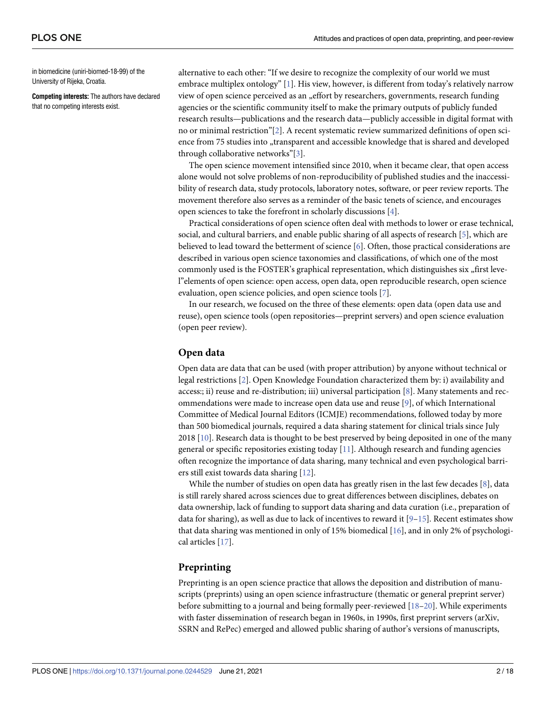<span id="page-1-0"></span>in biomedicine (uniri-biomed-18-99) of the University of Rijeka, Croatia.

**Competing interests:** The authors have declared that no competing interests exist.

alternative to each other: "If we desire to recognize the complexity of our world we must embrace multiplex ontology" [\[1](#page-14-0)]. His view, however, is different from today's relatively narrow view of open science perceived as an "effort by researchers, governments, research funding agencies or the scientific community itself to make the primary outputs of publicly funded research results—publications and the research data—publicly accessible in digital format with no or minimal restriction"[[2](#page-14-0)]. A recent systematic review summarized definitions of open science from 75 studies into "transparent and accessible knowledge that is shared and developed through collaborative networks"[\[3\]](#page-14-0).

The open science movement intensified since 2010, when it became clear, that open access alone would not solve problems of non-reproducibility of published studies and the inaccessibility of research data, study protocols, laboratory notes, software, or peer review reports. The movement therefore also serves as a reminder of the basic tenets of science, and encourages open sciences to take the forefront in scholarly discussions [[4](#page-14-0)].

Practical considerations of open science often deal with methods to lower or erase technical, social, and cultural barriers, and enable public sharing of all aspects of research [\[5\]](#page-14-0), which are believed to lead toward the betterment of science [[6](#page-15-0)]. Often, those practical considerations are described in various open science taxonomies and classifications, of which one of the most commonly used is the FOSTER's graphical representation, which distinguishes six "first level"elements of open science: open access, open data, open reproducible research, open science evaluation, open science policies, and open science tools [[7](#page-15-0)].

In our research, we focused on the three of these elements: open data (open data use and reuse), open science tools (open repositories—preprint servers) and open science evaluation (open peer review).

# **Open data**

Open data are data that can be used (with proper attribution) by anyone without technical or legal restrictions [[2\]](#page-14-0). Open Knowledge Foundation characterized them by: i) availability and access:; ii) reuse and re-distribution; iii) universal participation [\[8\]](#page-15-0). Many statements and recommendations were made to increase open data use and reuse [[9\]](#page-15-0), of which International Committee of Medical Journal Editors (ICMJE) recommendations, followed today by more than 500 biomedical journals, required a data sharing statement for clinical trials since July 2018 [[10](#page-15-0)]. Research data is thought to be best preserved by being deposited in one of the many general or specific repositories existing today [\[11\]](#page-15-0). Although research and funding agencies often recognize the importance of data sharing, many technical and even psychological barriers still exist towards data sharing [\[12\]](#page-15-0).

While the number of studies on open data has greatly risen in the last few decades [[8](#page-15-0)], data is still rarely shared across sciences due to great differences between disciplines, debates on data ownership, lack of funding to support data sharing and data curation (i.e., preparation of data for sharing), as well as due to lack of incentives to reward it  $[9-15]$ . Recent estimates show that data sharing was mentioned in only of 15% biomedical [[16](#page-15-0)], and in only 2% of psychological articles [\[17\]](#page-15-0).

#### **Preprinting**

Preprinting is an open science practice that allows the deposition and distribution of manuscripts (preprints) using an open science infrastructure (thematic or general preprint server) before submitting to a journal and being formally peer-reviewed [[18–20\]](#page-15-0). While experiments with faster dissemination of research began in 1960s, in 1990s, first preprint servers (arXiv, SSRN and RePec) emerged and allowed public sharing of author's versions of manuscripts,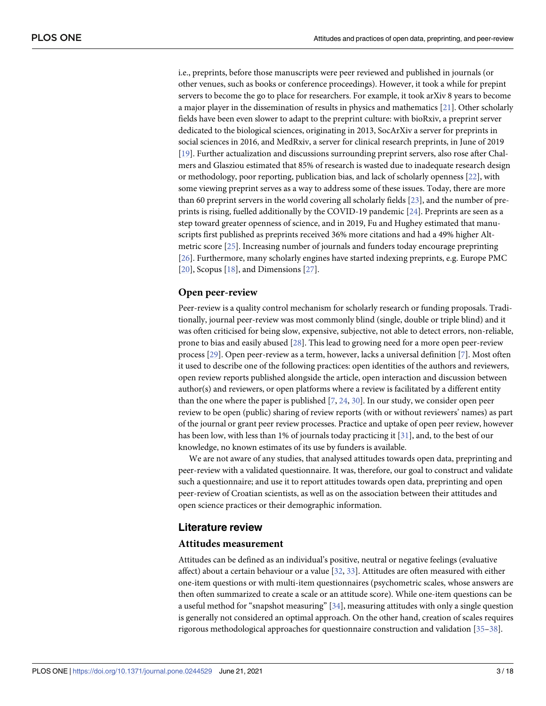<span id="page-2-0"></span>i.e., preprints, before those manuscripts were peer reviewed and published in journals (or other venues, such as books or conference proceedings). However, it took a while for prepint servers to become the go to place for researchers. For example, it took arXiv 8 years to become a major player in the dissemination of results in physics and mathematics [[21](#page-15-0)]. Other scholarly fields have been even slower to adapt to the preprint culture: with bioRxiv, a preprint server dedicated to the biological sciences, originating in 2013, SocArXiv a server for preprints in social sciences in 2016, and MedRxiv, a server for clinical research preprints, in June of 2019 [\[19\]](#page-15-0). Further actualization and discussions surrounding preprint servers, also rose after Chalmers and Glasziou estimated that 85% of research is wasted due to inadequate research design or methodology, poor reporting, publication bias, and lack of scholarly openness [\[22\]](#page-15-0), with some viewing preprint serves as a way to address some of these issues. Today, there are more than 60 preprint servers in the world covering all scholarly fields [[23](#page-15-0)], and the number of preprints is rising, fuelled additionally by the COVID-19 pandemic [\[24\]](#page-15-0). Preprints are seen as a step toward greater openness of science, and in 2019, Fu and Hughey estimated that manuscripts first published as preprints received 36% more citations and had a 49% higher Altmetric score [[25](#page-15-0)]. Increasing number of journals and funders today encourage preprinting [\[26\]](#page-15-0). Furthermore, many scholarly engines have started indexing preprints, e.g. Europe PMC [\[20\]](#page-15-0), Scopus [\[18\]](#page-15-0), and Dimensions [\[27\]](#page-15-0).

# **Open peer-review**

Peer-review is a quality control mechanism for scholarly research or funding proposals. Traditionally, journal peer-review was most commonly blind (single, double or triple blind) and it was often criticised for being slow, expensive, subjective, not able to detect errors, non-reliable, prone to bias and easily abused [[28](#page-15-0)]. This lead to growing need for a more open peer-review process [\[29\]](#page-15-0). Open peer-review as a term, however, lacks a universal definition [\[7\]](#page-15-0). Most often it used to describe one of the following practices: open identities of the authors and reviewers, open review reports published alongside the article, open interaction and discussion between author(s) and reviewers, or open platforms where a review is facilitated by a different entity than the one where the paper is published [\[7,](#page-15-0) [24,](#page-15-0) [30\]](#page-15-0). In our study, we consider open peer review to be open (public) sharing of review reports (with or without reviewers' names) as part of the journal or grant peer review processes. Practice and uptake of open peer review, however has been low, with less than 1% of journals today practicing it [\[31\]](#page-15-0), and, to the best of our knowledge, no known estimates of its use by funders is available.

We are not aware of any studies, that analysed attitudes towards open data, preprinting and peer-review with a validated questionnaire. It was, therefore, our goal to construct and validate such a questionnaire; and use it to report attitudes towards open data, preprinting and open peer-review of Croatian scientists, as well as on the association between their attitudes and open science practices or their demographic information.

# **Literature review**

#### **Attitudes measurement**

Attitudes can be defined as an individual's positive, neutral or negative feelings (evaluative affect) about a certain behaviour or a value [[32](#page-15-0), [33](#page-16-0)]. Attitudes are often measured with either one-item questions or with multi-item questionnaires (psychometric scales, whose answers are then often summarized to create a scale or an attitude score). While one-item questions can be a useful method for "snapshot measuring" [\[34\]](#page-16-0), measuring attitudes with only a single question is generally not considered an optimal approach. On the other hand, creation of scales requires rigorous methodological approaches for questionnaire construction and validation [\[35–38](#page-16-0)].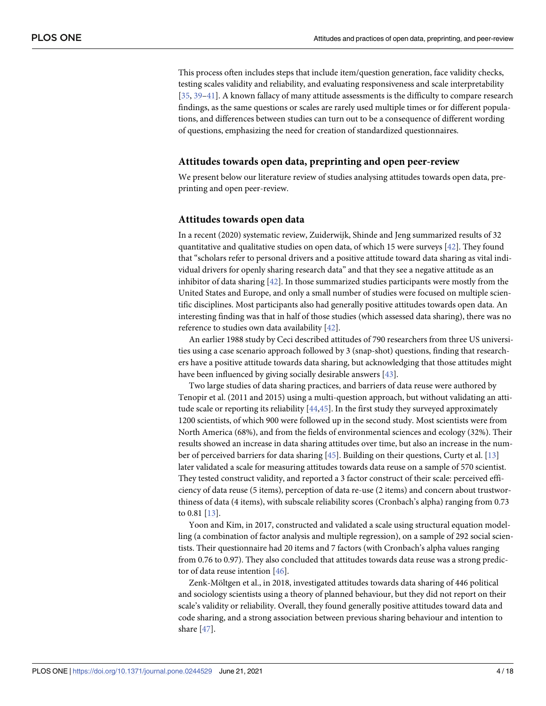<span id="page-3-0"></span>This process often includes steps that include item/question generation, face validity checks, testing scales validity and reliability, and evaluating responsiveness and scale interpretability [\[35,](#page-16-0) [39–41\]](#page-16-0). A known fallacy of many attitude assessments is the difficulty to compare research findings, as the same questions or scales are rarely used multiple times or for different populations, and differences between studies can turn out to be a consequence of different wording of questions, emphasizing the need for creation of standardized questionnaires.

#### **Attitudes towards open data, preprinting and open peer-review**

We present below our literature review of studies analysing attitudes towards open data, preprinting and open peer-review.

#### **Attitudes towards open data**

In a recent (2020) systematic review, Zuiderwijk, Shinde and Jeng summarized results of 32 quantitative and qualitative studies on open data, of which 15 were surveys [[42](#page-16-0)]. They found that "scholars refer to personal drivers and a positive attitude toward data sharing as vital individual drivers for openly sharing research data" and that they see a negative attitude as an inhibitor of data sharing [\[42\]](#page-16-0). In those summarized studies participants were mostly from the United States and Europe, and only a small number of studies were focused on multiple scientific disciplines. Most participants also had generally positive attitudes towards open data. An interesting finding was that in half of those studies (which assessed data sharing), there was no reference to studies own data availability [[42](#page-16-0)].

An earlier 1988 study by Ceci described attitudes of 790 researchers from three US universities using a case scenario approach followed by 3 (snap-shot) questions, finding that researchers have a positive attitude towards data sharing, but acknowledging that those attitudes might have been influenced by giving socially desirable answers [[43](#page-16-0)].

Two large studies of data sharing practices, and barriers of data reuse were authored by Tenopir et al. (2011 and 2015) using a multi-question approach, but without validating an attitude scale or reporting its reliability [[44](#page-16-0),[45](#page-16-0)]. In the first study they surveyed approximately 1200 scientists, of which 900 were followed up in the second study. Most scientists were from North America (68%), and from the fields of environmental sciences and ecology (32%). Their results showed an increase in data sharing attitudes over time, but also an increase in the number of perceived barriers for data sharing [\[45\]](#page-16-0). Building on their questions, Curty et al. [\[13\]](#page-15-0) later validated a scale for measuring attitudes towards data reuse on a sample of 570 scientist. They tested construct validity, and reported a 3 factor construct of their scale: perceived efficiency of data reuse (5 items), perception of data re-use (2 items) and concern about trustworthiness of data (4 items), with subscale reliability scores (Cronbach's alpha) ranging from 0.73 to 0.81 [\[13\]](#page-15-0).

Yoon and Kim, in 2017, constructed and validated a scale using structural equation modelling (a combination of factor analysis and multiple regression), on a sample of 292 social scientists. Their questionnaire had 20 items and 7 factors (with Cronbach's alpha values ranging from 0.76 to 0.97). They also concluded that attitudes towards data reuse was a strong predictor of data reuse intention [\[46\]](#page-16-0).

Zenk-Möltgen et al., in 2018, investigated attitudes towards data sharing of 446 political and sociology scientists using a theory of planned behaviour, but they did not report on their scale's validity or reliability. Overall, they found generally positive attitudes toward data and code sharing, and a strong association between previous sharing behaviour and intention to share [[47](#page-16-0)].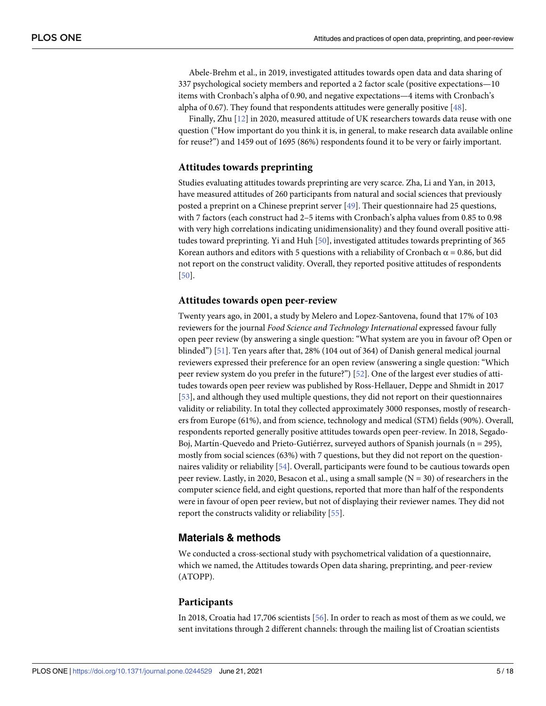<span id="page-4-0"></span>Abele-Brehm et al., in 2019, investigated attitudes towards open data and data sharing of 337 psychological society members and reported a 2 factor scale (positive expectations—10 items with Cronbach's alpha of 0.90, and negative expectations—4 items with Cronbach's alpha of 0.67). They found that respondents attitudes were generally positive [\[48\]](#page-16-0).

Finally, Zhu [[12](#page-15-0)] in 2020, measured attitude of UK researchers towards data reuse with one question ("How important do you think it is, in general, to make research data available online for reuse?") and 1459 out of 1695 (86%) respondents found it to be very or fairly important.

# **Attitudes towards preprinting**

Studies evaluating attitudes towards preprinting are very scarce. Zha, Li and Yan, in 2013, have measured attitudes of 260 participants from natural and social sciences that previously posted a preprint on a Chinese preprint server [\[49\]](#page-16-0). Their questionnaire had 25 questions, with 7 factors (each construct had 2–5 items with Cronbach's alpha values from 0.85 to 0.98 with very high correlations indicating unidimensionality) and they found overall positive attitudes toward preprinting. Yi and Huh [[50](#page-16-0)], investigated attitudes towards preprinting of 365 Korean authors and editors with 5 questions with a reliability of Cronbach  $\alpha$  = 0.86, but did not report on the construct validity. Overall, they reported positive attitudes of respondents [\[50\]](#page-16-0).

#### **Attitudes towards open peer-review**

Twenty years ago, in 2001, a study by Melero and Lopez-Santovena, found that 17% of 103 reviewers for the journal *Food Science and Technology International* expressed favour fully open peer review (by answering a single question: "What system are you in favour of? Open or blinded") [\[51\]](#page-16-0). Ten years after that, 28% (104 out of 364) of Danish general medical journal reviewers expressed their preference for an open review (answering a single question: "Which peer review system do you prefer in the future?") [\[52\]](#page-16-0). One of the largest ever studies of attitudes towards open peer review was published by Ross-Hellauer, Deppe and Shmidt in 2017 [\[53\]](#page-16-0), and although they used multiple questions, they did not report on their questionnaires validity or reliability. In total they collected approximately 3000 responses, mostly of researchers from Europe (61%), and from science, technology and medical (STM) fields (90%). Overall, respondents reported generally positive attitudes towards open peer-review. In 2018, Segado-Boj, Martín-Quevedo and Prieto-Gutiérrez, surveyed authors of Spanish journals (n = 295), mostly from social sciences (63%) with 7 questions, but they did not report on the questionnaires validity or reliability [\[54\]](#page-16-0). Overall, participants were found to be cautious towards open peer review. Lastly, in 2020, Besacon et al., using a small sample (N = 30) of researchers in the computer science field, and eight questions, reported that more than half of the respondents were in favour of open peer review, but not of displaying their reviewer names. They did not report the constructs validity or reliability [\[55\]](#page-16-0).

#### **Materials & methods**

We conducted a cross-sectional study with psychometrical validation of a questionnaire, which we named, the Attitudes towards Open data sharing, preprinting, and peer-review (ATOPP).

#### **Participants**

In 2018, Croatia had 17,706 scientists [[56](#page-16-0)]. In order to reach as most of them as we could, we sent invitations through 2 different channels: through the mailing list of Croatian scientists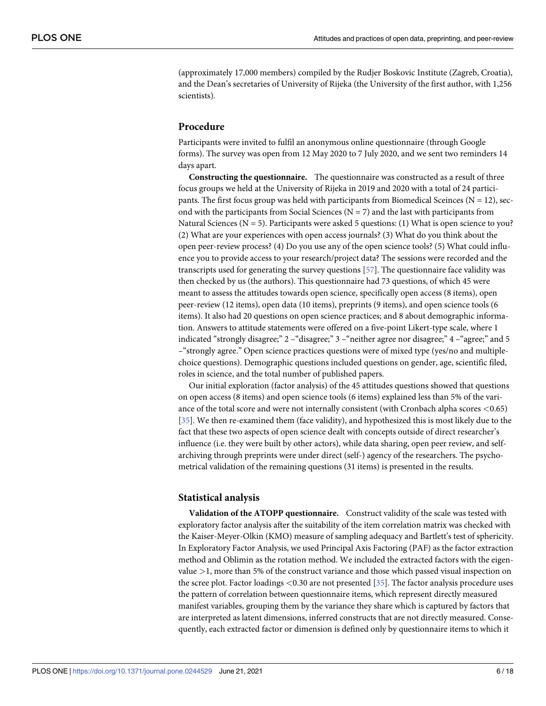<span id="page-5-0"></span>(approximately 17,000 members) compiled by the Rudjer Boskovic Institute (Zagreb, Croatia), and the Dean's secretaries of University of Rijeka (the University of the first author, with 1,256 scientists).

## **Procedure**

Participants were invited to fulfil an anonymous online questionnaire (through Google forms). The survey was open from 12 May 2020 to 7 July 2020, and we sent two reminders 14 days apart.

**Constructing the questionnaire.** The questionnaire was constructed as a result of three focus groups we held at the University of Rijeka in 2019 and 2020 with a total of 24 participants. The first focus group was held with participants from Biomedical Sceinces ( $N = 12$ ), second with the participants from Social Sciences ( $N = 7$ ) and the last with participants from Natural Sciences ( $N = 5$ ). Participants were asked 5 questions: (1) What is open science to you? (2) What are your experiences with open access journals? (3) What do you think about the open peer-review process? (4) Do you use any of the open science tools? (5) What could influence you to provide access to your research/project data? The sessions were recorded and the transcripts used for generating the survey questions [\[57\]](#page-17-0). The questionnaire face validity was then checked by us (the authors). This questionnaire had 73 questions, of which 45 were meant to assess the attitudes towards open science, specifically open access (8 items), open peer-review (12 items), open data (10 items), preprints (9 items), and open science tools (6 items). It also had 20 questions on open science practices; and 8 about demographic information. Answers to attitude statements were offered on a five-point Likert-type scale, where 1 indicated "strongly disagree;" 2 –"disagree;" 3 –"neither agree nor disagree;" 4 –"agree;" and 5 –"strongly agree." Open science practices questions were of mixed type (yes/no and multiplechoice questions). Demographic questions included questions on gender, age, scientific filed, roles in science, and the total number of published papers.

Our initial exploration (factor analysis) of the 45 attitudes questions showed that questions on open access (8 items) and open science tools (6 items) explained less than 5% of the variance of the total score and were not internally consistent (with Cronbach alpha scores *<*0.65) [\[35\]](#page-16-0). We then re-examined them (face validity), and hypothesized this is most likely due to the fact that these two aspects of open science dealt with concepts outside of direct researcher's influence (i.e. they were built by other actors), while data sharing, open peer review, and selfarchiving through preprints were under direct (self-) agency of the researchers. The psychometrical validation of the remaining questions (31 items) is presented in the results.

# **Statistical analysis**

**Validation of the ATOPP questionnaire.** Construct validity of the scale was tested with exploratory factor analysis after the suitability of the item correlation matrix was checked with the Kaiser-Meyer-Olkin (KMO) measure of sampling adequacy and Bartlett's test of sphericity. In Exploratory Factor Analysis, we used Principal Axis Factoring (PAF) as the factor extraction method and Oblimin as the rotation method. We included the extracted factors with the eigenvalue *>*1, more than 5% of the construct variance and those which passed visual inspection on the scree plot. Factor loadings *<*0.30 are not presented [[35](#page-16-0)]. The factor analysis procedure uses the pattern of correlation between questionnaire items, which represent directly measured manifest variables, grouping them by the variance they share which is captured by factors that are interpreted as latent dimensions, inferred constructs that are not directly measured. Consequently, each extracted factor or dimension is defined only by questionnaire items to which it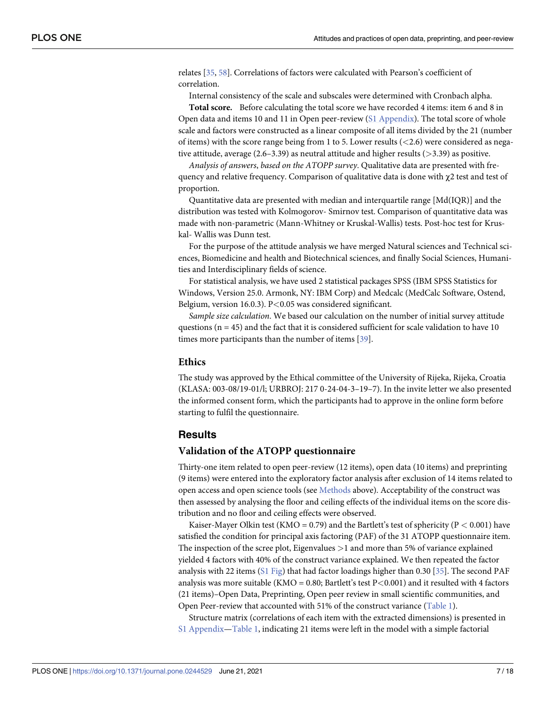<span id="page-6-0"></span>relates [\[35,](#page-16-0) [58\]](#page-17-0). Correlations of factors were calculated with Pearson's coefficient of correlation.

Internal consistency of the scale and subscales were determined with Cronbach alpha.

**Total score.** Before calculating the total score we have recorded 4 items: item 6 and 8 in Open data and items 10 and 11 in Open peer-review (S1 [Appendix](#page-14-0)). The total score of whole scale and factors were constructed as a linear composite of all items divided by the 21 (number of items) with the score range being from 1 to 5. Lower results (*<*2.6) were considered as negative attitude, average (2.6–3.39) as neutral attitude and higher results (*>*3.39) as positive.

*Analysis of answers*, *based on the ATOPP survey*. Qualitative data are presented with frequency and relative frequency. Comparison of qualitative data is done with χ2 test and test of proportion.

Quantitative data are presented with median and interquartile range [Md(IQR)] and the distribution was tested with Kolmogorov- Smirnov test. Comparison of quantitative data was made with non-parametric (Mann-Whitney or Kruskal-Wallis) tests. Post-hoc test for Kruskal- Wallis was Dunn test.

For the purpose of the attitude analysis we have merged Natural sciences and Technical sciences, Biomedicine and health and Biotechnical sciences, and finally Social Sciences, Humanities and Interdisciplinary fields of science.

For statistical analysis, we have used 2 statistical packages SPSS (IBM SPSS Statistics for Windows, Version 25.0. Armonk, NY: IBM Corp) and Medcalc (MedCalc Software, Ostend, Belgium, version 16.0.3). P*<*0.05 was considered significant.

*Sample size calculation*. We based our calculation on the number of initial survey attitude questions  $(n = 45)$  and the fact that it is considered sufficient for scale validation to have 10 times more participants than the number of items [\[39\]](#page-16-0).

#### **Ethics**

The study was approved by the Ethical committee of the University of Rijeka, Rijeka, Croatia (KLASA: 003-08/19-01/l; URBROJ: 217 0-24-04-3–19–7). In the invite letter we also presented the informed consent form, which the participants had to approve in the online form before starting to fulfil the questionnaire.

#### **Results**

#### **Validation of the ATOPP questionnaire**

Thirty-one item related to open peer-review (12 items), open data (10 items) and preprinting (9 items) were entered into the exploratory factor analysis after exclusion of 14 items related to open access and open science tools (see [Methods](#page-4-0) above). Acceptability of the construct was then assessed by analysing the floor and ceiling effects of the individual items on the score distribution and no floor and ceiling effects were observed.

Kaiser-Mayer Olkin test (KMO = 0.79) and the Bartlett's test of sphericity (P *<* 0.001) have satisfied the condition for principal axis factoring (PAF) of the 31 ATOPP questionnaire item. The inspection of the scree plot, Eigenvalues *>*1 and more than 5% of variance explained yielded 4 factors with 40% of the construct variance explained. We then repeated the factor analysis with 22 items (S1 [Fig\)](#page-14-0) that had factor loadings higher than 0.30 [[35](#page-16-0)]. The second PAF analysis was more suitable (KMO = 0.80; Bartlett's test P*<*0.001) and it resulted with 4 factors (21 items)–Open Data, Preprinting, Open peer review in small scientific communities, and Open Peer-review that accounted with 51% of the construct variance [\(Table](#page-7-0) 1).

Structure matrix (correlations of each item with the extracted dimensions) is presented in S1 [Appendix](#page-14-0)[—Table](#page-7-0) 1, indicating 21 items were left in the model with a simple factorial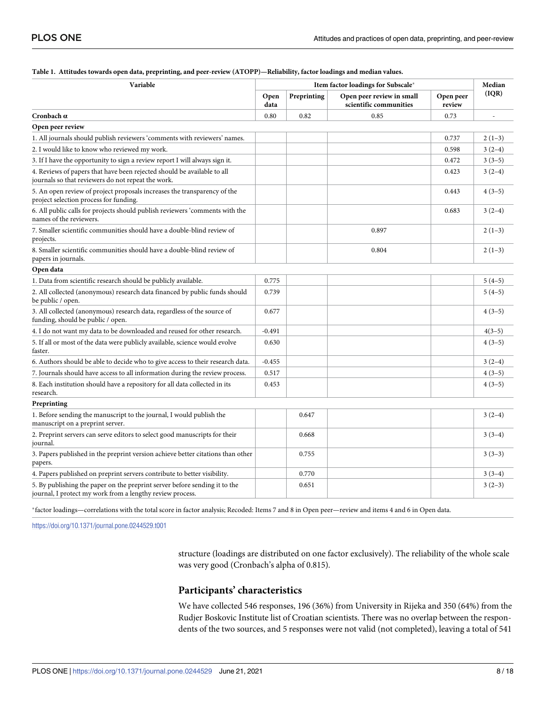| Variable                                                                                                                                |              | Item factor loadings for Subscale* |                                                     |                     |          |
|-----------------------------------------------------------------------------------------------------------------------------------------|--------------|------------------------------------|-----------------------------------------------------|---------------------|----------|
|                                                                                                                                         | Open<br>data | Preprinting                        | Open peer review in small<br>scientific communities | Open peer<br>review | (IQR)    |
| Cronbach $\alpha$                                                                                                                       | 0.80         | 0.82                               | 0.85                                                | 0.73                |          |
| Open peer review                                                                                                                        |              |                                    |                                                     |                     |          |
| 1. All journals should publish reviewers 'comments with reviewers' names.                                                               |              |                                    |                                                     | 0.737               | $2(1-3)$ |
| 2. I would like to know who reviewed my work.                                                                                           |              |                                    |                                                     | 0.598               | $3(2-4)$ |
| 3. If I have the opportunity to sign a review report I will always sign it.                                                             |              |                                    |                                                     | 0.472               | $3(3-5)$ |
| 4. Reviews of papers that have been rejected should be available to all<br>journals so that reviewers do not repeat the work.           |              |                                    |                                                     | 0.423               | $3(2-4)$ |
| 5. An open review of project proposals increases the transparency of the<br>project selection process for funding.                      |              |                                    |                                                     | 0.443               | $4(3-5)$ |
| 6. All public calls for projects should publish reviewers 'comments with the<br>names of the reviewers.                                 |              |                                    |                                                     | 0.683               | $3(2-4)$ |
| 7. Smaller scientific communities should have a double-blind review of<br>projects.                                                     |              |                                    | 0.897                                               |                     | $2(1-3)$ |
| 8. Smaller scientific communities should have a double-blind review of<br>papers in journals.                                           |              |                                    | 0.804                                               |                     | $2(1-3)$ |
| Open data                                                                                                                               |              |                                    |                                                     |                     |          |
| 1. Data from scientific research should be publicly available.                                                                          | 0.775        |                                    |                                                     |                     | $5(4-5)$ |
| 2. All collected (anonymous) research data financed by public funds should<br>be public / open.                                         | 0.739        |                                    |                                                     |                     | $5(4-5)$ |
| 3. All collected (anonymous) research data, regardless of the source of<br>funding, should be public / open.                            | 0.677        |                                    |                                                     |                     | $4(3-5)$ |
| 4. I do not want my data to be downloaded and reused for other research.                                                                | $-0.491$     |                                    |                                                     |                     | $4(3-5)$ |
| 5. If all or most of the data were publicly available, science would evolve<br>faster.                                                  | 0.630        |                                    |                                                     |                     | $4(3-5)$ |
| 6. Authors should be able to decide who to give access to their research data.                                                          | $-0.455$     |                                    |                                                     |                     | $3(2-4)$ |
| 7. Journals should have access to all information during the review process.                                                            | 0.517        |                                    |                                                     |                     | $4(3-5)$ |
| 8. Each institution should have a repository for all data collected in its<br>research.                                                 | 0.453        |                                    |                                                     |                     | $4(3-5)$ |
| Preprinting                                                                                                                             |              |                                    |                                                     |                     |          |
| 1. Before sending the manuscript to the journal, I would publish the<br>manuscript on a preprint server.                                |              | 0.647                              |                                                     |                     | $3(2-4)$ |
| 2. Preprint servers can serve editors to select good manuscripts for their<br>journal.                                                  |              | 0.668                              |                                                     |                     | $3(3-4)$ |
| 3. Papers published in the preprint version achieve better citations than other<br>papers.                                              |              | 0.755                              |                                                     |                     | $3(3-3)$ |
| 4. Papers published on preprint servers contribute to better visibility.                                                                |              | 0.770                              |                                                     |                     | $3(3-4)$ |
| 5. By publishing the paper on the preprint server before sending it to the<br>journal, I protect my work from a lengthy review process. |              | 0.651                              |                                                     |                     | $3(2-3)$ |

## <span id="page-7-0"></span>[Table](#page-6-0) 1. Attitudes towards open data, preprinting, and peer-review (ATOPP)-Reliability, factor loadings and median values.

�factor loadings—correlations with the total score in factor analysis; Recoded: Items 7 and 8 in Open peer—review and items 4 and 6 in Open data.

<https://doi.org/10.1371/journal.pone.0244529.t001>

structure (loadings are distributed on one factor exclusively). The reliability of the whole scale was very good (Cronbach's alpha of 0.815).

#### **Participants' characteristics**

We have collected 546 responses, 196 (36%) from University in Rijeka and 350 (64%) from the Rudjer Boskovic Institute list of Croatian scientists. There was no overlap between the respondents of the two sources, and 5 responses were not valid (not completed), leaving a total of 541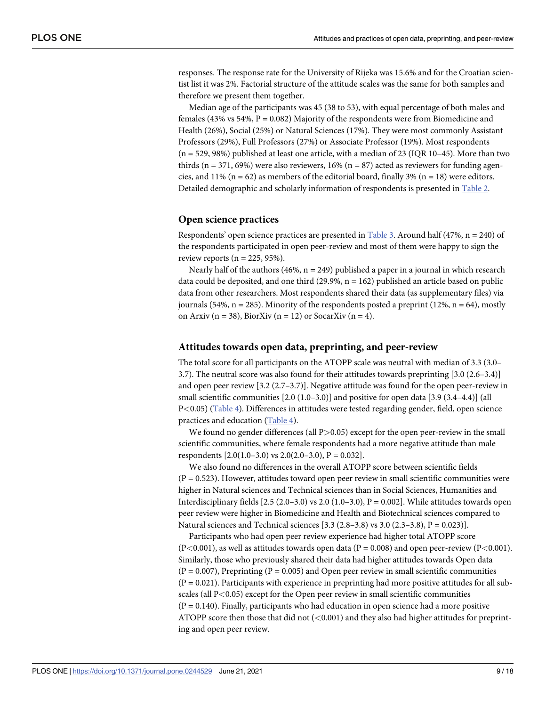<span id="page-8-0"></span>responses. The response rate for the University of Rijeka was 15.6% and for the Croatian scientist list it was 2%. Factorial structure of the attitude scales was the same for both samples and therefore we present them together.

Median age of the participants was 45 (38 to 53), with equal percentage of both males and females (43% vs 54%,  $P = 0.082$ ) Majority of the respondents were from Biomedicine and Health (26%), Social (25%) or Natural Sciences (17%). They were most commonly Assistant Professors (29%), Full Professors (27%) or Associate Professor (19%). Most respondents  $(n = 529, 98%)$  published at least one article, with a median of 23 (IQR 10–45). More than two thirds ( $n = 371, 69\%$ ) were also reviewers, 16% ( $n = 87$ ) acted as reviewers for funding agencies, and 11% ( $n = 62$ ) as members of the editorial board, finally 3% ( $n = 18$ ) were editors. Detailed demographic and scholarly information of respondents is presented in [Table](#page-9-0) 2.

#### **Open science practices**

Respondents' open science practices are presented in [Table](#page-10-0) 3. Around half  $(47%, n = 240)$  of the respondents participated in open peer-review and most of them were happy to sign the review reports ( $n = 225, 95\%$ ).

Nearly half of the authors (46%,  $n = 249$ ) published a paper in a journal in which research data could be deposited, and one third  $(29.9\%, n = 162)$  published an article based on public data from other researchers. Most respondents shared their data (as supplementary files) via journals (54%,  $n = 285$ ). Minority of the respondents posted a preprint (12%,  $n = 64$ ), mostly on Arxiv ( $n = 38$ ), BiorXiv ( $n = 12$ ) or SocarXiv ( $n = 4$ ).

#### **Attitudes towards open data, preprinting, and peer-review**

The total score for all participants on the ATOPP scale was neutral with median of 3.3 (3.0– 3.7). The neutral score was also found for their attitudes towards preprinting [3.0 (2.6–3.4)] and open peer review [3.2 (2.7–3.7)]. Negative attitude was found for the open peer-review in small scientific communities  $[2.0 (1.0-3.0)]$  and positive for open data  $[3.9 (3.4-4.4)]$  (all P*<*0.05) ([Table](#page-11-0) 4). Differences in attitudes were tested regarding gender, field, open science practices and education ([Table](#page-11-0) 4).

We found no gender differences (all P*>*0.05) except for the open peer-review in the small scientific communities, where female respondents had a more negative attitude than male respondents  $[2.0(1.0-3.0)$  vs  $2.0(2.0-3.0)$ ,  $P = 0.032$ ].

We also found no differences in the overall ATOPP score between scientific fields  $(P = 0.523)$ . However, attitudes toward open peer review in small scientific communities were higher in Natural sciences and Technical sciences than in Social Sciences, Humanities and Interdisciplinary fields  $[2.5 (2.0-3.0)$  vs 2.0  $(1.0-3.0)$ ,  $P = 0.002$ . While attitudes towards open peer review were higher in Biomedicine and Health and Biotechnical sciences compared to Natural sciences and Technical sciences  $[3.3 (2.8-3.8)$  vs  $3.0 (2.3-3.8), P = 0.023]$ .

Participants who had open peer review experience had higher total ATOPP score  $(P<0.001)$ , as well as attitudes towards open data  $(P = 0.008)$  and open peer-review  $(P<0.001)$ . Similarly, those who previously shared their data had higher attitudes towards Open data  $(P = 0.007)$ , Preprinting  $(P = 0.005)$  and Open peer review in small scientific communities  $(P = 0.021)$ . Participants with experience in preprinting had more positive attitudes for all subscales (all P*<*0.05) except for the Open peer review in small scientific communities  $(P = 0.140)$ . Finally, participants who had education in open science had a more positive ATOPP score then those that did not (*<*0.001) and they also had higher attitudes for preprinting and open peer review.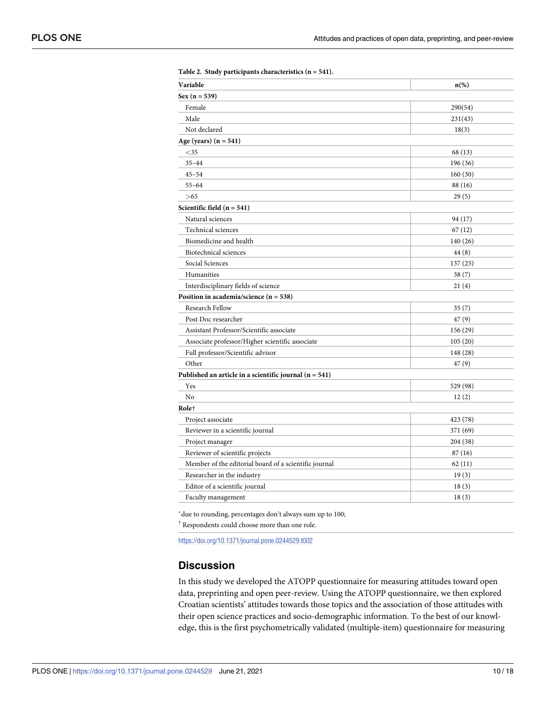| Variable                                                 | $n\left(\%\right)$ |
|----------------------------------------------------------|--------------------|
| $Sex (n = 539)$                                          |                    |
| Female                                                   | 290(54)            |
| Male                                                     | 231(43)            |
| Not declared                                             | 18(3)              |
| Age (years) $(n = 541)$                                  |                    |
| $<$ 35                                                   | 68 (13)            |
| $35 - 44$                                                | 196 (36)           |
| $45 - 54$                                                | 160(30)            |
| $55 - 64$                                                | 88 (16)            |
| >65                                                      | 29(5)              |
| Scientific field $(n = 541)$                             |                    |
| Natural sciences                                         | 94 (17)            |
| Technical sciences                                       | 67(12)             |
| Biomedicine and health                                   | 140(26)            |
| Biotechnical sciences                                    | 44(8)              |
| Social Sciences                                          | 137(25)            |
| Humanities                                               | 38(7)              |
| Interdisciplinary fields of science                      | 21(4)              |
| Position in academia/science $(n = 538)$                 |                    |
| Research Fellow                                          | 35(7)              |
| Post Doc researcher                                      | 47(9)              |
| Assistant Professor/Scientific associate                 | 156 (29)           |
| Associate professor/Higher scientific associate          | 105(20)            |
| Full professor/Scientific advisor                        | 148 (28)           |
| Other                                                    | 47(9)              |
| Published an article in a scientific journal $(n = 541)$ |                    |
| Yes                                                      | 529 (98)           |
| No                                                       | 12(2)              |
| Role <sup>+</sup>                                        |                    |
| Project associate                                        | 423 (78)           |
| Reviewer in a scientific journal                         | 371 (69)           |
| Project manager                                          | 204 (38)           |
| Reviewer of scientific projects                          | 87 (16)            |
| Member of the editorial board of a scientific journal    | 62(11)             |
| Researcher in the industry                               | 19(3)              |
| Editor of a scientific journal                           | 18(3)              |
| Faculty management                                       | 18(3)              |
|                                                          |                    |

<span id="page-9-0"></span>**[Table](#page-8-0) 2. Study participants characteristics (n = 541).**

�due to rounding, percentages don't always sum up to 100;

† Respondents could choose more than one role.

<https://doi.org/10.1371/journal.pone.0244529.t002>

# **Discussion**

In this study we developed the ATOPP questionnaire for measuring attitudes toward open data, preprinting and open peer-review. Using the ATOPP questionnaire, we then explored Croatian scientists' attitudes towards those topics and the association of those attitudes with their open science practices and socio-demographic information. To the best of our knowledge, this is the first psychometrically validated (multiple-item) questionnaire for measuring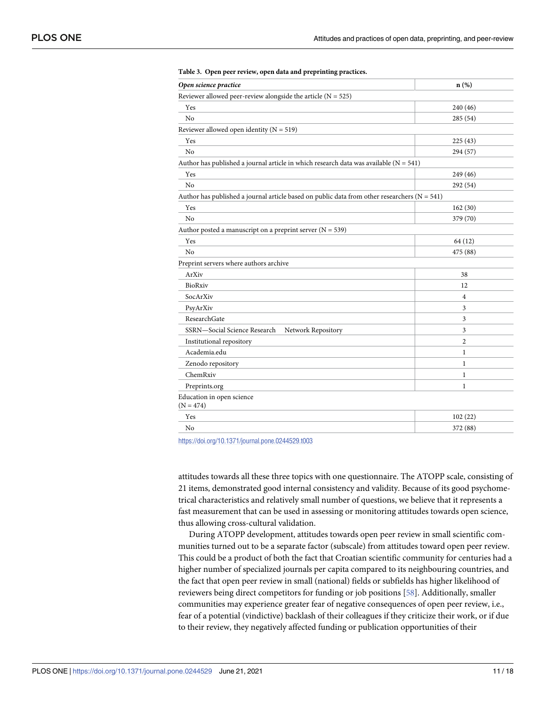| Open science practice                                                                            | $n$ (%)        |
|--------------------------------------------------------------------------------------------------|----------------|
| Reviewer allowed peer-review alongside the article $(N = 525)$                                   |                |
| Yes                                                                                              | 240 (46)       |
| No                                                                                               | 285(54)        |
| Reviewer allowed open identity ( $N = 519$ )                                                     |                |
| Yes                                                                                              | 225(43)        |
| No                                                                                               | 294 (57)       |
| Author has published a journal article in which research data was available ( $N = 541$ )        |                |
| Yes                                                                                              | 249 (46)       |
| No                                                                                               | 292 (54)       |
| Author has published a journal article based on public data from other researchers ( $N = 541$ ) |                |
| Yes                                                                                              | 162(30)        |
| N <sub>o</sub>                                                                                   | 379 (70)       |
| Author posted a manuscript on a preprint server $(N = 539)$                                      |                |
| Yes                                                                                              | 64 (12)        |
| No                                                                                               | 475 (88)       |
| Preprint servers where authors archive                                                           |                |
| ArXiv                                                                                            | 38             |
| BioRxiv                                                                                          | 12             |
| SocArXiv                                                                                         | $\overline{4}$ |
| PsyArXiv                                                                                         | 3              |
| ResearchGate                                                                                     | 3              |
| SSRN-Social Science Research<br>Network Repository                                               | 3              |
| Institutional repository                                                                         | $\overline{2}$ |
| Academia.edu                                                                                     | $\mathbf{1}$   |
| Zenodo repository                                                                                | $\mathbf{1}$   |
| ChemRxiv                                                                                         | $\mathbf{1}$   |
| Preprints.org                                                                                    | $\mathbf{1}$   |
| Education in open science<br>$(N = 474)$                                                         |                |
| Yes                                                                                              | 102(22)        |
| No                                                                                               | 372 (88)       |
|                                                                                                  |                |

#### <span id="page-10-0"></span>**[Table](#page-8-0) 3. Open peer review, open data and preprinting practices.**

<https://doi.org/10.1371/journal.pone.0244529.t003>

attitudes towards all these three topics with one questionnaire. The ATOPP scale, consisting of 21 items, demonstrated good internal consistency and validity. Because of its good psychometrical characteristics and relatively small number of questions, we believe that it represents a fast measurement that can be used in assessing or monitoring attitudes towards open science, thus allowing cross-cultural validation.

During ATOPP development, attitudes towards open peer review in small scientific communities turned out to be a separate factor (subscale) from attitudes toward open peer review. This could be a product of both the fact that Croatian scientific community for centuries had a higher number of specialized journals per capita compared to its neighbouring countries, and the fact that open peer review in small (national) fields or subfields has higher likelihood of reviewers being direct competitors for funding or job positions [\[58\]](#page-17-0). Additionally, smaller communities may experience greater fear of negative consequences of open peer review, i.e., fear of a potential (vindictive) backlash of their colleagues if they criticize their work, or if due to their review, they negatively affected funding or publication opportunities of their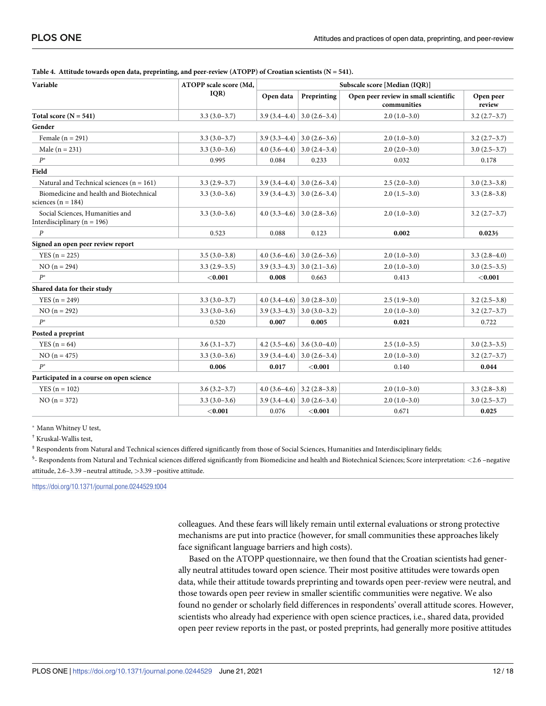| Variable                                                           | ATOPP scale score (Md,<br>IQR) | Subscale score [Median (IQR)] |                                 |                                                     |                     |
|--------------------------------------------------------------------|--------------------------------|-------------------------------|---------------------------------|-----------------------------------------------------|---------------------|
|                                                                    |                                | Open data                     | Preprinting                     | Open peer review in small scientific<br>communities | Open peer<br>review |
| Total score $(N = 541)$                                            | $3.3(3.0-3.7)$                 |                               | $3.9(3.4-4.4)$ 3.0 (2.6-3.4)    | $2.0(1.0-3.0)$                                      | $3.2(2.7-3.7)$      |
| Gender                                                             |                                |                               |                                 |                                                     |                     |
| Female $(n = 291)$                                                 | $3.3(3.0-3.7)$                 |                               | $3.9(3.3-4.4)$ 3.0 (2.6–3.6)    | $2.0(1.0-3.0)$                                      | $3.2(2.7-3.7)$      |
| Male ( $n = 231$ )                                                 | $3.3(3.0-3.6)$                 |                               | 4.0 $(3.6-4.4)$ 3.0 $(2.4-3.4)$ | $2.0(2.0-3.0)$                                      | $3.0(2.5-3.7)$      |
| $P^*$                                                              | 0.995                          | 0.084                         | 0.233                           | 0.032                                               | 0.178               |
| Field                                                              |                                |                               |                                 |                                                     |                     |
| Natural and Technical sciences ( $n = 161$ )                       | $3.3(2.9-3.7)$                 |                               | $3.9(3.4-4.4)$ 3.0 (2.6–3.4)    | $2.5(2.0-3.0)$                                      | $3.0(2.3-3.8)$      |
| Biomedicine and health and Biotechnical<br>sciences ( $n = 184$ )  | $3.3(3.0-3.6)$                 |                               | $3.9(3.4-4.3)$ 3.0 (2.6-3.4)    | $2.0(1.5-3.0)$                                      | $3.3(2.8-3.8)$      |
| Social Sciences, Humanities and<br>Interdisciplinary ( $n = 196$ ) | $3.3(3.0-3.6)$                 |                               | $4.0$ (3.3–4.6)   3.0 (2.8–3.6) | $2.0(1.0-3.0)$                                      | $3.2(2.7-3.7)$      |
| $\boldsymbol{P}$                                                   | 0.523                          | 0.088                         | 0.123                           | 0.002                                               | $0.023\$            |
| Signed an open peer review report                                  |                                |                               |                                 |                                                     |                     |
| $YES (n = 225)$                                                    | $3.5(3.0-3.8)$                 | $4.0(3.6-4.6)$                | $3.0(2.6-3.6)$                  | $2.0(1.0-3.0)$                                      | $3.3(2.8-4.0)$      |
| $NO (n = 294)$                                                     | $3.3(2.9-3.5)$                 | $3.9(3.3-4.3)$                | $3.0(2.1-3.6)$                  | $2.0(1.0-3.0)$                                      | $3.0(2.5-3.5)$      |
| $P^*$                                                              | < 0.001                        | 0.008                         | 0.663                           | 0.413                                               | < 0.001             |
| Shared data for their study                                        |                                |                               |                                 |                                                     |                     |
| $YES (n = 249)$                                                    | $3.3(3.0-3.7)$                 | $4.0(3.4-4.6)$                | $3.0(2.8-3.0)$                  | $2.5(1.9-3.0)$                                      | $3.2(2.5-3.8)$      |
| $NO (n = 292)$                                                     | $3.3(3.0-3.6)$                 | $3.9(3.3-4.3)$                | $3.0(3.0-3.2)$                  | $2.0(1.0-3.0)$                                      | $3.2(2.7-3.7)$      |
| $P^*$                                                              | 0.520                          | 0.007                         | 0.005                           | 0.021                                               | 0.722               |
| Posted a preprint                                                  |                                |                               |                                 |                                                     |                     |
| $YES (n = 64)$                                                     | $3.6(3.1-3.7)$                 | $4.2(3.5-4.6)$                | $3.6(3.0-4.0)$                  | $2.5(1.0-3.5)$                                      | $3.0(2.3-3.5)$      |
| $NO (n = 475)$                                                     | $3.3(3.0-3.6)$                 |                               | $3.9(3.4-4.4)$ 3.0 (2.6-3.4)    | $2.0(1.0-3.0)$                                      | $3.2(2.7-3.7)$      |
| $P^*$                                                              | 0.006                          | 0.017                         | $<$ 0.001                       | 0.140                                               | 0.044               |
| Participated in a course on open science                           |                                |                               |                                 |                                                     |                     |
| $YES (n = 102)$                                                    | $3.6(3.2 - 3.7)$               | $4.0(3.6-4.6)$                | $3.2(2.8-3.8)$                  | $2.0(1.0-3.0)$                                      | $3.3(2.8-3.8)$      |
| $NO (n = 372)$                                                     | $3.3(3.0-3.6)$                 | $3.9(3.4-4.4)$                | $3.0(2.6-3.4)$                  | $2.0(1.0-3.0)$                                      | $3.0(2.5-3.7)$      |
|                                                                    | < 0.001                        | 0.076                         | < 0.001                         | 0.671                                               | 0.025               |

#### <span id="page-11-0"></span>**[Table](#page-8-0) 4. Attitude towards open data, preprinting, and peer-review (ATOPP) of Croatian scientists (N = 541).**

� Mann Whitney U test,

† Kruskal-Wallis test,

 $*$  Respondents from Natural and Technical sciences differed significantly from those of Social Sciences, Humanities and Interdisciplinary fields;

§ - Respondents from Natural and Technical sciences differed significantly from Biomedicine and health and Biotechnical Sciences; Score interpretation: *<*2.6 –negative attitude, 2.6–3.39 –neutral attitude, *>*3.39 –positive attitude.

<https://doi.org/10.1371/journal.pone.0244529.t004>

colleagues. And these fears will likely remain until external evaluations or strong protective mechanisms are put into practice (however, for small communities these approaches likely face significant language barriers and high costs).

Based on the ATOPP questionnaire, we then found that the Croatian scientists had generally neutral attitudes toward open science. Their most positive attitudes were towards open data, while their attitude towards preprinting and towards open peer-review were neutral, and those towards open peer review in smaller scientific communities were negative. We also found no gender or scholarly field differences in respondents' overall attitude scores. However, scientists who already had experience with open science practices, i.e., shared data, provided open peer review reports in the past, or posted preprints, had generally more positive attitudes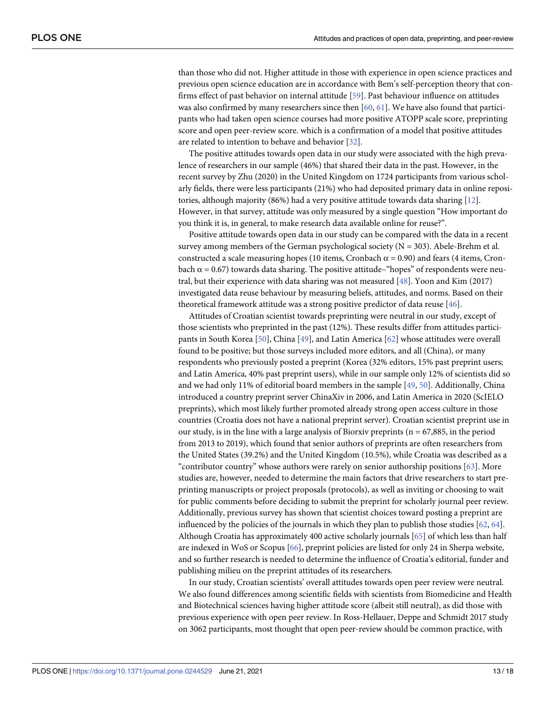<span id="page-12-0"></span>than those who did not. Higher attitude in those with experience in open science practices and previous open science education are in accordance with Bem's self-perception theory that confirms effect of past behavior on internal attitude [\[59\]](#page-17-0). Past behaviour influence on attitudes was also confirmed by many researchers since then [\[60,](#page-17-0) [61\]](#page-17-0). We have also found that participants who had taken open science courses had more positive ATOPP scale score, preprinting score and open peer-review score. which is a confirmation of a model that positive attitudes are related to intention to behave and behavior [\[32\]](#page-15-0).

The positive attitudes towards open data in our study were associated with the high prevalence of researchers in our sample (46%) that shared their data in the past. However, in the recent survey by Zhu (2020) in the United Kingdom on 1724 participants from various scholarly fields, there were less participants (21%) who had deposited primary data in online repositories, although majority (86%) had a very positive attitude towards data sharing [\[12\]](#page-15-0). However, in that survey, attitude was only measured by a single question "How important do you think it is, in general, to make research data available online for reuse?".

Positive attitude towards open data in our study can be compared with the data in a recent survey among members of the German psychological society ( $N = 303$ ). Abele-Brehm et al. constructed a scale measuring hopes (10 items, Cronbach  $\alpha$  = 0.90) and fears (4 items, Cronbach  $\alpha$  = 0.67) towards data sharing. The positive attitude–"hopes" of respondents were neutral, but their experience with data sharing was not measured [[48](#page-16-0)]. Yoon and Kim (2017) investigated data reuse behaviour by measuring beliefs, attitudes, and norms. Based on their theoretical framework attitude was a strong positive predictor of data reuse [\[46\]](#page-16-0).

Attitudes of Croatian scientist towards preprinting were neutral in our study, except of those scientists who preprinted in the past (12%). These results differ from attitudes participants in South Korea [\[50\]](#page-16-0), China [[49](#page-16-0)], and Latin America [\[62\]](#page-17-0) whose attitudes were overall found to be positive; but those surveys included more editors, and all (China), or many respondents who previously posted a preprint (Korea (32% editors, 15% past preprint users; and Latin America, 40% past preprint users), while in our sample only 12% of scientists did so and we had only 11% of editorial board members in the sample [\[49,](#page-16-0) [50\]](#page-16-0). Additionally, China introduced a country preprint server ChinaXiv in 2006, and Latin America in 2020 (ScIELO preprints), which most likely further promoted already strong open access culture in those countries (Croatia does not have a national preprint server). Croatian scientist preprint use in our study, is in the line with a large analysis of Biorxiv preprints ( $n = 67,885$ , in the period from 2013 to 2019), which found that senior authors of preprints are often researchers from the United States (39.2%) and the United Kingdom (10.5%), while Croatia was described as a "contributor country" whose authors were rarely on senior authorship positions [\[63\]](#page-17-0). More studies are, however, needed to determine the main factors that drive researchers to start preprinting manuscripts or project proposals (protocols), as well as inviting or choosing to wait for public comments before deciding to submit the preprint for scholarly journal peer review. Additionally, previous survey has shown that scientist choices toward posting a preprint are influenced by the policies of the journals in which they plan to publish those studies [\[62,](#page-17-0) [64\]](#page-17-0). Although Croatia has approximately 400 active scholarly journals [[65](#page-17-0)] of which less than half are indexed in WoS or Scopus [\[66\]](#page-17-0), preprint policies are listed for only 24 in Sherpa website, and so further research is needed to determine the influence of Croatia's editorial, funder and publishing milieu on the preprint attitudes of its researchers.

In our study, Croatian scientists' overall attitudes towards open peer review were neutral. We also found differences among scientific fields with scientists from Biomedicine and Health and Biotechnical sciences having higher attitude score (albeit still neutral), as did those with previous experience with open peer review. In Ross-Hellauer, Deppe and Schmidt 2017 study on 3062 participants, most thought that open peer-review should be common practice, with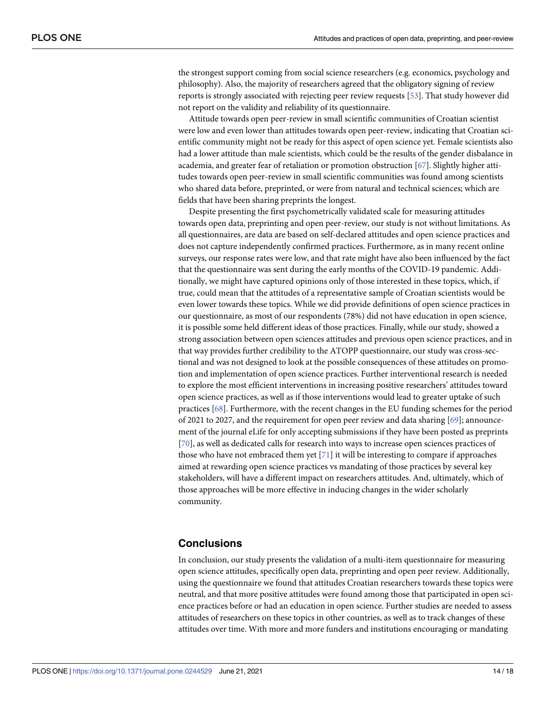<span id="page-13-0"></span>the strongest support coming from social science researchers (e.g. economics, psychology and philosophy). Also, the majority of researchers agreed that the obligatory signing of review reports is strongly associated with rejecting peer review requests [[53](#page-16-0)]. That study however did not report on the validity and reliability of its questionnaire.

Attitude towards open peer-review in small scientific communities of Croatian scientist were low and even lower than attitudes towards open peer-review, indicating that Croatian scientific community might not be ready for this aspect of open science yet. Female scientists also had a lower attitude than male scientists, which could be the results of the gender disbalance in academia, and greater fear of retaliation or promotion obstruction [[67\]](#page-17-0). Slightly higher attitudes towards open peer-review in small scientific communities was found among scientists who shared data before, preprinted, or were from natural and technical sciences; which are fields that have been sharing preprints the longest.

Despite presenting the first psychometrically validated scale for measuring attitudes towards open data, preprinting and open peer-review, our study is not without limitations. As all questionnaires, are data are based on self-declared attitudes and open science practices and does not capture independently confirmed practices. Furthermore, as in many recent online surveys, our response rates were low, and that rate might have also been influenced by the fact that the questionnaire was sent during the early months of the COVID-19 pandemic. Additionally, we might have captured opinions only of those interested in these topics, which, if true, could mean that the attitudes of a representative sample of Croatian scientists would be even lower towards these topics. While we did provide definitions of open science practices in our questionnaire, as most of our respondents (78%) did not have education in open science, it is possible some held different ideas of those practices. Finally, while our study, showed a strong association between open sciences attitudes and previous open science practices, and in that way provides further credibility to the ATOPP questionnaire, our study was cross-sectional and was not designed to look at the possible consequences of these attitudes on promotion and implementation of open science practices. Further interventional research is needed to explore the most efficient interventions in increasing positive researchers' attitudes toward open science practices, as well as if those interventions would lead to greater uptake of such practices [[68](#page-17-0)]. Furthermore, with the recent changes in the EU funding schemes for the period of 2021 to 2027, and the requirement for open peer review and data sharing [[69](#page-17-0)]; announcement of the journal eLife for only accepting submissions if they have been posted as preprints [\[70\]](#page-17-0), as well as dedicated calls for research into ways to increase open sciences practices of those who have not embraced them yet  $[71]$  $[71]$  $[71]$  it will be interesting to compare if approaches aimed at rewarding open science practices vs mandating of those practices by several key stakeholders, will have a different impact on researchers attitudes. And, ultimately, which of those approaches will be more effective in inducing changes in the wider scholarly community.

# **Conclusions**

In conclusion, our study presents the validation of a multi-item questionnaire for measuring open science attitudes, specifically open data, preprinting and open peer review. Additionally, using the questionnaire we found that attitudes Croatian researchers towards these topics were neutral, and that more positive attitudes were found among those that participated in open science practices before or had an education in open science. Further studies are needed to assess attitudes of researchers on these topics in other countries, as well as to track changes of these attitudes over time. With more and more funders and institutions encouraging or mandating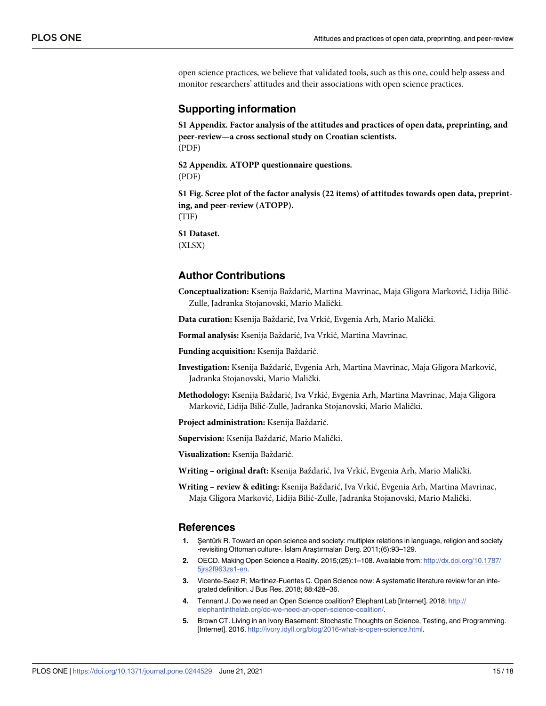<span id="page-14-0"></span>open science practices, we believe that validated tools, such as this one, could help assess and monitor researchers' attitudes and their associations with open science practices.

## **Supporting information**

**S1 [Appendix](http://www.plosone.org/article/fetchSingleRepresentation.action?uri=info:doi/10.1371/journal.pone.0244529.s001). Factor analysis of the attitudes and practices of open data, preprinting, and peer-review—a cross sectional study on Croatian scientists.** (PDF)

**S2 [Appendix](http://www.plosone.org/article/fetchSingleRepresentation.action?uri=info:doi/10.1371/journal.pone.0244529.s002). ATOPP questionnaire questions.** (PDF)

**S1 [Fig](http://www.plosone.org/article/fetchSingleRepresentation.action?uri=info:doi/10.1371/journal.pone.0244529.s003). Scree plot of the factor analysis (22 items) of attitudes towards open data, preprinting, and peer-review (ATOPP).** (TIF)

**S1 [Dataset.](http://www.plosone.org/article/fetchSingleRepresentation.action?uri=info:doi/10.1371/journal.pone.0244529.s004)**

(XLSX)

# **Author Contributions**

**Conceptualization:** Ksenija Baždarić, Martina Mavrinac, Maja Gligora Marković, Lidija Bilić-Zulle, Jadranka Stojanovski, Mario Malički.

Data curation: Ksenija Baždarić, Iva Vrkić, Evgenia Arh, Mario Malički.

**Formal analysis:** Ksenija Baždarić, Iva Vrkić, Martina Mavrinac.

Funding acquisition: Ksenija Baždarić.

Investigation: Ksenija Baždarić, Evgenia Arh, Martina Mavrinac, Maja Gligora Marković, Jadranka Stojanovski, Mario Malički.

- **Methodology:** Ksenija Baždarić, Iva Vrkić, Evgenia Arh, Martina Mavrinac, Maja Gligora Marković, Lidija Bilić-Zulle, Jadranka Stojanovski, Mario Malički.
- Project administration: Ksenija Baždarić.

Supervision: Ksenija Baždarić, Mario Malički.

Visualization: Ksenija Baždarić.

**Writing – original draft:** Ksenija Bazˇdarić, Iva Vrkić, Evgenia Arh, Mario Malički.

**Writing – review & editing:** Ksenija Bazˇdarić, Iva Vrkić, Evgenia Arh, Martina Mavrinac, Maja Gligora Marković, Lidija Bilić-Zulle, Jadranka Stojanovski, Mario Malički.

#### **References**

- **[1](#page-0-0).** Şentürk R. Toward an open science and society: multiplex relations in language, religion and society -revisiting Ottoman culture-. İslam Araştırmaları Derg. 2011;(6):93–129.
- **[2](#page-1-0).** OECD. Making Open Science a Reality. 2015;(25):1–108. Available from: [http://dx.doi.org/10.1787/](http://dx.doi.org/10.1787/5jrs2f963zs1-en) [5jrs2f963zs1-en](http://dx.doi.org/10.1787/5jrs2f963zs1-en).
- **[3](#page-1-0).** Vicente-Saez R; Martinez-Fuentes C. Open Science now: A systematic literature review for an integrated definition. J Bus Res. 2018; 88:428–36.
- **[4](#page-1-0).** Tennant J. Do we need an Open Science coalition? Elephant Lab [Internet]. 2018; [http://](http://elephantinthelab.org/do-we-need-an-open-science-coalition/) [elephantinthelab.org/do-we-need-an-open-science-coalition/](http://elephantinthelab.org/do-we-need-an-open-science-coalition/).
- **[5](#page-1-0).** Brown CT. Living in an Ivory Basement: Stochastic Thoughts on Science, Testing, and Programming. [Internet]. 2016. <http://ivory.idyll.org/blog/2016-what-is-open-science.html>.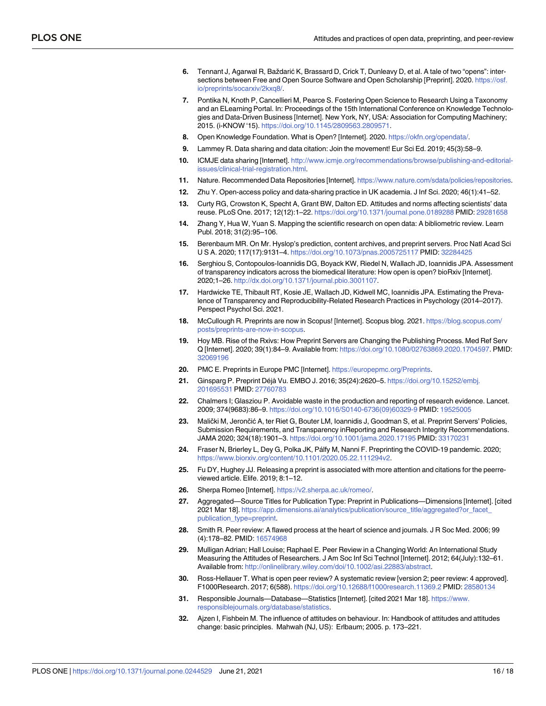- <span id="page-15-0"></span>**[6](#page-1-0).** Tennant J, Agarwal R, Baždarić K, Brassard D, Crick T, Dunleavy D, et al. A tale of two "opens": intersections between Free and Open Source Software and Open Scholarship [Preprint]. 2020. [https://osf.](https://osf.io/preprints/socarxiv/2kxq8/) [io/preprints/socarxiv/2kxq8/.](https://osf.io/preprints/socarxiv/2kxq8/)
- **[7](#page-1-0).** Pontika N, Knoth P, Cancellieri M, Pearce S. Fostering Open Science to Research Using a Taxonomy and an ELearning Portal. In: Proceedings of the 15th International Conference on Knowledge Technologies and Data-Driven Business [Internet]. New York, NY, USA: Association for Computing Machinery; 2015. (i-KNOW '15). <https://doi.org/10.1145/2809563.2809571>.
- **[8](#page-1-0).** Open Knowledge Foundation. What is Open? [Internet]. 2020. <https://okfn.org/opendata/>.
- **[9](#page-1-0).** Lammey R. Data sharing and data citation: Join the movement! Eur Sci Ed. 2019; 45(3):58–9.
- **[10](#page-1-0).** ICMJE data sharing [Internet]. [http://www.icmje.org/recommendations/browse/publishing-and-editorial](http://www.icmje.org/recommendations/browse/publishing-and-editorial-issues/clinical-trial-registration.html)[issues/clinical-trial-registration.html](http://www.icmje.org/recommendations/browse/publishing-and-editorial-issues/clinical-trial-registration.html).
- **[11](#page-1-0).** Nature. Recommended Data Repositories [Internet]. <https://www.nature.com/sdata/policies/repositories>.
- **[12](#page-1-0).** Zhu Y. Open-access policy and data-sharing practice in UK academia. J Inf Sci. 2020; 46(1):41–52.
- **[13](#page-3-0).** Curty RG, Crowston K, Specht A, Grant BW, Dalton ED. Attitudes and norms affecting scientists' data reuse. PLoS One. 2017; 12(12):1–22. <https://doi.org/10.1371/journal.pone.0189288> PMID: [29281658](http://www.ncbi.nlm.nih.gov/pubmed/29281658)
- **14.** Zhang Y, Hua W, Yuan S. Mapping the scientific research on open data: A bibliometric review. Learn Publ. 2018; 31(2):95–106.
- **[15](#page-1-0).** Berenbaum MR. On Mr. Hyslop's prediction, content archives, and preprint servers. Proc Natl Acad Sci U S A. 2020; 117(17):9131–4. <https://doi.org/10.1073/pnas.2005725117> PMID: [32284425](http://www.ncbi.nlm.nih.gov/pubmed/32284425)
- **[16](#page-1-0).** Serghiou S, Contopoulos-Ioannidis DG, Boyack KW, Riedel N, Wallach JD, Ioannidis JPA. Αssessment of transparency indicators across the biomedical literature: How open is open? bioRxiv [Internet]. 2020;1–26. [http://dx.doi.org/10.1371/journal.pbio.3001107.](http://dx.doi.org/10.1371/journal.pbio.3001107)
- **[17](#page-1-0).** Hardwicke TE, Thibault RT, Kosie JE, Wallach JD, Kidwell MC, Ioannidis JPA. Estimating the Prevalence of Transparency and Reproducibility-Related Research Practices in Psychology (2014–2017). Perspect Psychol Sci. 2021.
- **[18](#page-1-0).** McCullough R. Preprints are now in Scopus! [Internet]. Scopus blog. 2021. [https://blog.scopus.com/](https://blog.scopus.com/posts/preprints-are-now-in-scopus) [posts/preprints-are-now-in-scopus](https://blog.scopus.com/posts/preprints-are-now-in-scopus).
- **[19](#page-2-0).** Hoy MB. Rise of the Rxivs: How Preprint Servers are Changing the Publishing Process. Med Ref Serv Q [Internet]. 2020; 39(1):84–9. Available from: [https://doi.org/10.1080/02763869.2020.1704597.](https://doi.org/10.1080/02763869.2020.1704597) PMID: [32069196](http://www.ncbi.nlm.nih.gov/pubmed/32069196)
- **[20](#page-1-0).** PMC E. Preprints in Europe PMC [Internet]. [https://europepmc.org/Preprints.](https://europepmc.org/Preprints)
- **[21](#page-2-0).** Ginsparg P. Preprint De´jà Vu. EMBO J. 2016; 35(24):2620–5. [https://doi.org/10.15252/embj.](https://doi.org/10.15252/embj.201695531) [201695531](https://doi.org/10.15252/embj.201695531) PMID: [27760783](http://www.ncbi.nlm.nih.gov/pubmed/27760783)
- **[22](#page-2-0).** Chalmers I; Glasziou P. Avoidable waste in the production and reporting of research evidence. Lancet. 2009; 374(9683):86–9. [https://doi.org/10.1016/S0140-6736\(09\)60329-9](https://doi.org/10.1016/S0140-6736%2809%2960329-9) PMID: [19525005](http://www.ncbi.nlm.nih.gov/pubmed/19525005)
- **[23](#page-2-0).** Malički M, Jerončić A, ter Riet G, Bouter LM, Ioannidis J, Goodman S, et al. Preprint Servers' Policies, Submission Requirements, and Transparency inReporting and Research Integrity Recommendations. JAMA 2020; 324(18):1901–3. <https://doi.org/10.1001/jama.2020.17195> PMID: [33170231](http://www.ncbi.nlm.nih.gov/pubmed/33170231)
- **[24](#page-2-0).** Fraser N, Brierley L, Dey G, Polka JK, Pa´lfy M, Nanni F. Preprinting the COVID-19 pandemic. 2020; <https://www.biorxiv.org/content/10.1101/2020.05.22.111294v2>.
- **[25](#page-2-0).** Fu DY, Hughey JJ. Releasing a preprint is associated with more attention and citations for the peerreviewed article. Elife. 2019; 8:1–12.
- **[26](#page-2-0).** Sherpa Romeo [Internet]. [https://v2.sherpa.ac.uk/romeo/.](https://v2.sherpa.ac.uk/romeo/)
- **[27](#page-2-0).** Aggregated—Source Titles for Publication Type: Preprint in Publications—Dimensions [Internet]. [cited 2021 Mar 18]. [https://app.dimensions.ai/analytics/publication/source\\_title/aggregated?or\\_facet\\_](https://app.dimensions.ai/analytics/publication/source_title/aggregated?or_facet_publication_type=preprint) [publication\\_type=preprint](https://app.dimensions.ai/analytics/publication/source_title/aggregated?or_facet_publication_type=preprint).
- **[28](#page-2-0).** Smith R. Peer review: A flawed process at the heart of science and journals. J R Soc Med. 2006; 99 (4):178–82. PMID: [16574968](http://www.ncbi.nlm.nih.gov/pubmed/16574968)
- **[29](#page-2-0).** Mulligan Adrian; Hall Louise; Raphael E. Peer Review in a Changing World: An International Study Measuring the Attitudes of Researchers. J Am Soc Inf Sci Technol [Internet]. 2012; 64(July):132–61. Available from: <http://onlinelibrary.wiley.com/doi/10.1002/asi.22883/abstract>.
- **[30](#page-2-0).** Ross-Hellauer T. What is open peer review? A systematic review [version 2; peer review: 4 approved]. F1000Research. 2017; 6(588). <https://doi.org/10.12688/f1000research.11369.2> PMID: [28580134](http://www.ncbi.nlm.nih.gov/pubmed/28580134)
- **[31](#page-2-0).** Responsible Journals—Database—Statistics [Internet]. [cited 2021 Mar 18]. [https://www.](https://www.responsiblejournals.org/database/statistics) [responsiblejournals.org/database/statistics](https://www.responsiblejournals.org/database/statistics).
- **[32](#page-2-0).** Ajzen I, Fishbein M. The influence of attitudes on behaviour. In: Handbook of attitudes and attitudes change: basic principles. Mahwah (NJ, US): Erlbaum; 2005. p. 173–221.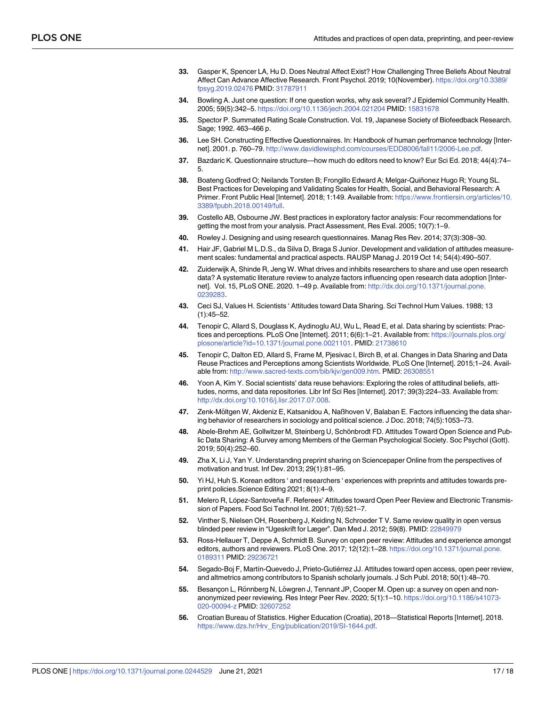- <span id="page-16-0"></span>**[33](#page-2-0).** Gasper K, Spencer LA, Hu D. Does Neutral Affect Exist? How Challenging Three Beliefs About Neutral Affect Can Advance Affective Research. Front Psychol. 2019; 10(November). [https://doi.org/10.3389/](https://doi.org/10.3389/fpsyg.2019.02476) [fpsyg.2019.02476](https://doi.org/10.3389/fpsyg.2019.02476) PMID: [31787911](http://www.ncbi.nlm.nih.gov/pubmed/31787911)
- **[34](#page-2-0).** Bowling A. Just one question: If one question works, why ask several? J Epidemiol Community Health. 2005; 59(5):342–5. <https://doi.org/10.1136/jech.2004.021204> PMID: [15831678](http://www.ncbi.nlm.nih.gov/pubmed/15831678)
- **[35](#page-2-0).** Spector P. Summated Rating Scale Construction. Vol. 19, Japanese Society of Biofeedback Research. Sage; 1992. 463–466 p.
- **36.** Lee SH. Constructing Effective Questionnaires. In: Handbook of human perfromance technology [Internet]. 2001. p. 760–79. <http://www.davidlewisphd.com/courses/EDD8006/fall11/2006-Lee.pdf>.
- **37.** Bazdaric K. Questionnaire structure—how much do editors need to know? Eur Sci Ed. 2018; 44(4):74– 5.
- **[38](#page-2-0).** Boateng Godfred O; Neilands Torsten B; Frongillo Edward A; Melgar-Quiñonez Hugo R; Young SL. Best Practices for Developing and Validating Scales for Health, Social, and Behavioral Research: A Primer. Front Public Heal [Internet]. 2018; 1:149. Available from: [https://www.frontiersin.org/articles/10.](https://www.frontiersin.org/articles/10.3389/fpubh.2018.00149/full) [3389/fpubh.2018.00149/full.](https://www.frontiersin.org/articles/10.3389/fpubh.2018.00149/full)
- **[39](#page-3-0).** Costello AB, Osbourne JW. Best practices in exploratory factor analysis: Four recommendations for getting the most from your analysis. Pract Assessment, Res Eval. 2005; 10(7):1–9.
- **40.** Rowley J. Designing and using research questionnaires. Manag Res Rev. 2014; 37(3):308–30.
- **[41](#page-3-0).** Hair JF, Gabriel M L.D.S., da Silva D, Braga S Junior. Development and validation of attitudes measurement scales: fundamental and practical aspects. RAUSP Manag J. 2019 Oct 14; 54(4):490–507.
- **[42](#page-3-0).** Zuiderwijk A, Shinde R, Jeng W. What drives and inhibits researchers to share and use open research data? A systematic literature review to analyze factors influencing open research data adoption [Internet]. Vol. 15, PLoS ONE. 2020. 1–49 p. Available from: [http://dx.doi.org/10.1371/journal.pone.](http://dx.doi.org/10.1371/journal.pone.0239283) [0239283](http://dx.doi.org/10.1371/journal.pone.0239283).
- **[43](#page-3-0).** Ceci SJ, Values H. Scientists ' Attitudes toward Data Sharing. Sci Technol Hum Values. 1988; 13 (1):45–52.
- **[44](#page-3-0).** Tenopir C, Allard S, Douglass K, Aydinoglu AU, Wu L, Read E, et al. Data sharing by scientists: Practices and perceptions. PLoS One [Internet]. 2011; 6(6):1–21. Available from: [https://journals.plos.org/](https://journals.plos.org/plosone/article?id=10.1371/journal.pone.0021101) [plosone/article?id=10.1371/journal.pone.0021101.](https://journals.plos.org/plosone/article?id=10.1371/journal.pone.0021101) PMID: [21738610](http://www.ncbi.nlm.nih.gov/pubmed/21738610)
- **[45](#page-3-0).** Tenopir C, Dalton ED, Allard S, Frame M, Pjesivac I, Birch B, et al. Changes in Data Sharing and Data Reuse Practices and Perceptions among Scientists Worldwide. PLoS One [Internet]. 2015;1–24. Available from: <http://www.sacred-texts.com/bib/kjv/gen009.htm>. PMID: [26308551](http://www.ncbi.nlm.nih.gov/pubmed/26308551)
- **[46](#page-3-0).** Yoon A, Kim Y. Social scientists' data reuse behaviors: Exploring the roles of attitudinal beliefs, attitudes, norms, and data repositories. Libr Inf Sci Res [Internet]. 2017; 39(3):224–33. Available from: <http://dx.doi.org/10.1016/j.lisr.2017.07.008>.
- **[47](#page-3-0).** Zenk-Möltgen W, Akdeniz E, Katsanidou A, Naßhoven V, Balaban E. Factors influencing the data sharing behavior of researchers in sociology and political science. J Doc. 2018; 74(5):1053–73.
- **[48](#page-4-0).** Abele-Brehm AE, Gollwitzer M, Steinberg U, Schönbrodt FD. Attitudes Toward Open Science and Public Data Sharing: A Survey among Members of the German Psychological Society. Soc Psychol (Gott). 2019; 50(4):252–60.
- **[49](#page-4-0).** Zha X, Li J, Yan Y. Understanding preprint sharing on Sciencepaper Online from the perspectives of motivation and trust. Inf Dev. 2013; 29(1):81–95.
- **[50](#page-4-0).** Yi HJ, Huh S. Korean editors ' and researchers ' experiences with preprints and attitudes towards preprint policies.Science Editing 2021; 8(1):4–9.
- **[51](#page-4-0).** Melero R, López-Santoveña F. Referees' Attitudes toward Open Peer Review and Electronic Transmission of Papers. Food Sci Technol Int. 2001; 7(6):521–7.
- **[52](#page-4-0).** Vinther S, Nielsen OH, Rosenberg J, Keiding N, Schroeder T V. Same review quality in open versus blinded peer review in "Ugeskrift for Læger". Dan Med J. 2012; 59(8). PMID: [22849979](http://www.ncbi.nlm.nih.gov/pubmed/22849979)
- **[53](#page-4-0).** Ross-Hellauer T, Deppe A, Schmidt B. Survey on open peer review: Attitudes and experience amongst editors, authors and reviewers. PLoS One. 2017; 12(12):1–28. [https://doi.org/10.1371/journal.pone.](https://doi.org/10.1371/journal.pone.0189311) [0189311](https://doi.org/10.1371/journal.pone.0189311) PMID: [29236721](http://www.ncbi.nlm.nih.gov/pubmed/29236721)
- **[54](#page-4-0).** Segado-Boj F, Martín-Quevedo J, Prieto-Gutiérrez JJ. Attitudes toward open access, open peer review, and altmetrics among contributors to Spanish scholarly journals. J Sch Publ. 2018; 50(1):48–70.
- **[55](#page-4-0).** Besançon L, Rönnberg N, Löwgren J, Tennant JP, Cooper M. Open up: a survey on open and nonanonymized peer reviewing. Res Integr Peer Rev. 2020; 5(1):1–10. [https://doi.org/10.1186/s41073-](https://doi.org/10.1186/s41073-020-00094-z) [020-00094-z](https://doi.org/10.1186/s41073-020-00094-z) PMID: [32607252](http://www.ncbi.nlm.nih.gov/pubmed/32607252)
- **[56](#page-4-0).** Croatian Bureau of Statistics. Higher Education (Croatia), 2018—Statistical Reports [Internet]. 2018. [https://www.dzs.hr/Hrv\\_Eng/publication/2019/SI-1644.pdf.](https://www.dzs.hr/Hrv_Eng/publication/2019/SI-1644.pdf)